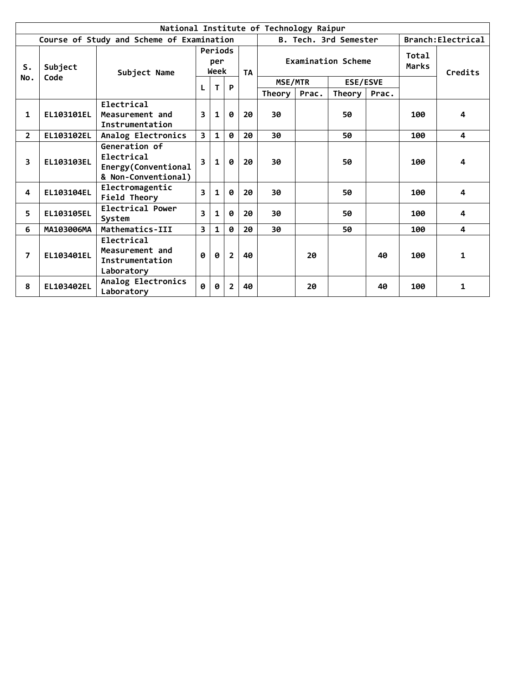|                | National Institute of Technology Raipur |                                                                           |   |              |                       |    |         |                           |                       |       |     |                    |
|----------------|-----------------------------------------|---------------------------------------------------------------------------|---|--------------|-----------------------|----|---------|---------------------------|-----------------------|-------|-----|--------------------|
|                |                                         | Course of Study and Scheme of Examination                                 |   |              |                       |    |         |                           | B. Tech. 3rd Semester |       |     | Branch: Electrical |
| S.             | Subject                                 | Periods<br>per<br>Week<br>Subject Name<br><b>TA</b>                       |   |              |                       |    |         | <b>Examination Scheme</b> |                       |       |     | Credits            |
| No.            | Code                                    |                                                                           |   |              | P                     |    | MSE/MTR |                           | <b>ESE/ESVE</b>       |       |     |                    |
|                |                                         |                                                                           | L | T.           |                       |    | Theory  | Prac.                     | Theory                | Prac. |     |                    |
| 1              | <b>EL103101EL</b>                       | Electrical<br>Measurement and<br>Instrumentation                          | 3 | $\mathbf{1}$ | 0                     | 20 | 30      |                           | 50                    |       | 100 | 4                  |
| $\overline{2}$ | EL103102EL                              | Analog Electronics                                                        | 3 | $\mathbf{1}$ | 0                     | 20 | 30      |                           | 50                    |       | 100 | 4                  |
| 3              | EL103103EL                              | Generation of<br>Electrical<br>Energy(Conventional<br>& Non-Conventional) |   | $\mathbf{1}$ | $\boldsymbol{\theta}$ | 20 | 30      |                           | 50                    |       | 100 | 4                  |
| 4              | EL103104EL                              | Electromagentic<br>Field Theory                                           | 3 | $\mathbf{1}$ | 0                     | 20 | 30      |                           | 50                    |       | 100 | 4                  |
| 5.             | EL103105EL                              | Electrical Power<br>System                                                | R | $\mathbf{1}$ | 0                     | 20 | 30      |                           | 50                    |       | 100 | 4                  |
| 6              | MA103006MA                              | Mathematics-III                                                           | 3 | $\mathbf{1}$ | 0                     | 20 | 30      |                           | 50                    |       | 100 | 4                  |
| $\overline{7}$ | EL103401EL                              | Electrical<br>Measurement and<br>Instrumentation<br>Laboratory            | Ø | Ø            | $\overline{2}$        | 40 |         | 20                        |                       | 40    | 100 | 1                  |
| 8              | EL103402EL                              | Analog Electronics<br>Laboratory                                          | 0 | Ø            | $\overline{2}$        | 40 |         | 20                        |                       | 40    | 100 | 1                  |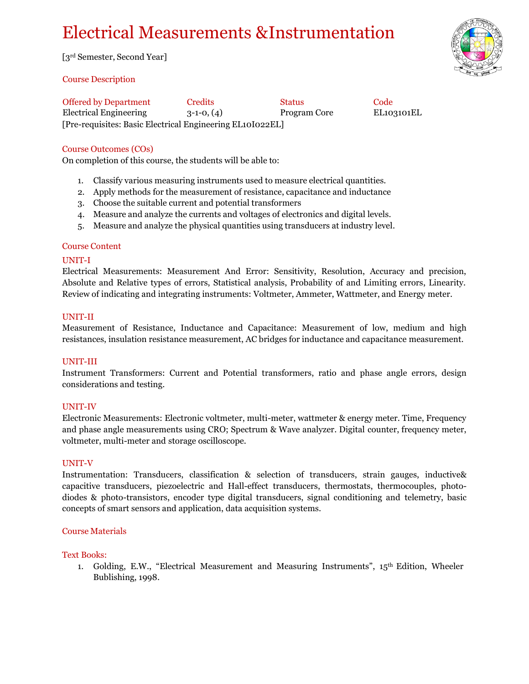# Electrical Measurements &Instrumentation

[3rd Semester, Second Year]

#### Course Description

[Pre-requisites: Basic Electrical Engineering EL10I022EL] Offered by Department Credits Status Status Code Electrical Engineering 3-1-0, (4) Program Core EL103101EL

## Course Outcomes (COs)

On completion of this course, the students will be able to:

- 1. Classify various measuring instruments used to measure electrical quantities.
- 2. Apply methods for the measurement of resistance, capacitance and inductance
- 3. Choose the suitable current and potential transformers
- 4. Measure and analyze the currents and voltages of electronics and digital levels.
- 5. Measure and analyze the physical quantities using transducers at industry level.

#### Course Content

#### UNIT-I

Electrical Measurements: Measurement And Error: Sensitivity, Resolution, Accuracy and precision, Absolute and Relative types of errors, Statistical analysis, Probability of and Limiting errors, Linearity. Review of indicating and integrating instruments: Voltmeter, Ammeter, Wattmeter, and Energy meter.

#### UNIT-II

Measurement of Resistance, Inductance and Capacitance: Measurement of low, medium and high resistances, insulation resistance measurement, AC bridges for inductance and capacitance measurement.

#### UNIT-III

Instrument Transformers: Current and Potential transformers, ratio and phase angle errors, design considerations and testing.

#### UNIT-IV

Electronic Measurements: Electronic voltmeter, multi-meter, wattmeter & energy meter. Time, Frequency and phase angle measurements using CRO; Spectrum & Wave analyzer. Digital counter, frequency meter, voltmeter, multi-meter and storage oscilloscope.

#### UNIT-V

Instrumentation: Transducers, classification & selection of transducers, strain gauges, inductive& capacitive transducers, piezoelectric and Hall-effect transducers, thermostats, thermocouples, photodiodes & photo-transistors, encoder type digital transducers, signal conditioning and telemetry, basic concepts of smart sensors and application, data acquisition systems.

#### Course Materials

#### Text Books:

1. Golding, E.W., "Electrical Measurement and Measuring Instruments",  $15<sup>th</sup>$  Edition, Wheeler Bublishing, 1998.

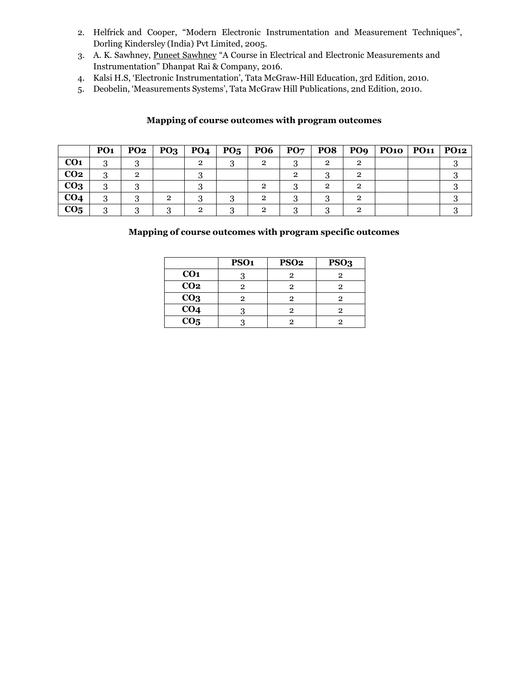- 2. Helfrick and Cooper, "Modern Electronic Instrumentation and Measurement Techniques", Dorling Kindersley (India) Pvt Limited, 2005.
- 3. A. K. Sawhney, Puneet [Sawhney](https://www.google.co.in/search?tbo=p&tbm=bks&q=inauthor%3A%22Puneet%2BSawhney%22&source=gbs_metadata_r&cad=2) "A Course in Electrical and Electronic Measurements and Instrumentation" Dhanpat Rai & Company, 2016.
- 4. Kalsi H.S, 'Electronic Instrumentation', Tata McGraw-Hill Education, 3rd Edition, 2010.
- 5. Deobelin, 'Measurements Systems', Tata McGraw Hill Publications, 2nd Edition, 2010.

#### **Mapping of course outcomes with program outcomes**

|                 | PO <sub>1</sub> | <b>PO2</b> | <b>PO3</b> | <b>PO4</b> | PO <sub>5</sub> | <b>PO6</b> | $\mathbf{P}\mathbf{O}\mathbf{7}$ | <b>PO8</b> | PO <sub>9</sub> | PO10   PO11   PO12 |  |
|-----------------|-----------------|------------|------------|------------|-----------------|------------|----------------------------------|------------|-----------------|--------------------|--|
| CO <sub>1</sub> |                 |            |            |            |                 |            |                                  |            |                 |                    |  |
| CO <sub>2</sub> | റ               |            |            |            |                 |            |                                  |            |                 |                    |  |
| CO <sub>3</sub> |                 |            |            |            |                 |            |                                  |            |                 |                    |  |
| CO <sub>4</sub> |                 |            |            |            |                 |            |                                  |            |                 |                    |  |
| CO <sub>5</sub> |                 |            |            |            |                 |            |                                  |            |                 |                    |  |

|                 | PSO <sub>1</sub> | <b>PSO2</b> | PSO <sub>3</sub> |
|-----------------|------------------|-------------|------------------|
| CO <sub>1</sub> |                  |             |                  |
| CO <sub>2</sub> |                  |             |                  |
| CO <sub>3</sub> |                  | 9           |                  |
| CO <sub>4</sub> |                  |             |                  |
| CO <sub>5</sub> |                  |             |                  |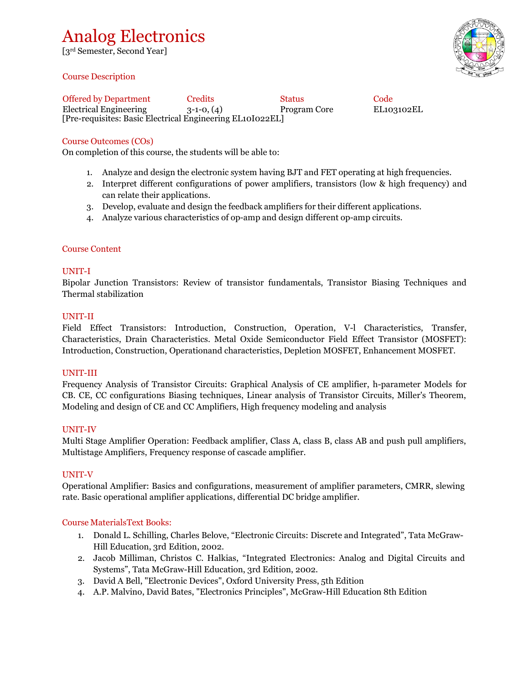## Analog Electronics

[3rd Semester, Second Year]

#### Course Description



[Pre-requisites: Basic Electrical Engineering EL10I022EL] Offered by Department Credits Status Code Electrical Engineering 3-1-0, (4) Program Core EL103102EL

#### Course Outcomes (COs)

On completion of this course, the students will be able to:

- 1. Analyze and design the electronic system having BJT and FET operating at high frequencies.
- 2. Interpret different configurations of power amplifiers, transistors (low & high frequency) and can relate their applications.
- 3. Develop, evaluate and design the feedback amplifiers for their different applications.
- 4. Analyze various characteristics of op-amp and design different op-amp circuits.

#### Course Content

#### UNIT-I

Bipolar Junction Transistors: Review of transistor fundamentals, Transistor Biasing Techniques and Thermal stabilization

#### UNIT-II

Field Effect Transistors: Introduction, Construction, Operation, V-l Characteristics, Transfer, Characteristics, Drain Characteristics. Metal Oxide Semiconductor Field Effect Transistor (MOSFET): Introduction, Construction, Operationand characteristics, Depletion MOSFET, Enhancement MOSFET.

#### UNIT-III

Frequency Analysis of Transistor Circuits: Graphical Analysis of CE amplifier, h-parameter Models for CB. CE, CC configurations Biasing techniques, Linear analysis of Transistor Circuits, Miller's Theorem, Modeling and design of CE and CC Amplifiers, High frequency modeling and analysis

#### UNIT-IV

Multi Stage Amplifier Operation: Feedback amplifier, Class A, class B, class AB and push pull amplifiers, Multistage Amplifiers, Frequency response of cascade amplifier.

#### UNIT-V

Operational Amplifier: Basics and configurations, measurement of amplifier parameters, CMRR, slewing rate. Basic operational amplifier applications, differential DC bridge amplifier.

#### Course MaterialsText Books:

- 1. Donald L. Schilling, Charles Belove, "Electronic Circuits: Discrete and Integrated", Tata McGraw-Hill Education, 3rd Edition, 2002.
- 2. Jacob Milliman, Christos C. Halkias, "Integrated Electronics: Analog and Digital Circuits and Systems", Tata McGraw-Hill Education, 3rd Edition, 2002.
- 3. David A Bell, "Electronic Devices", Oxford University Press, 5th Edition
- 4. A.P. Malvino, David Bates, "Electronics Principles", McGraw-Hill Education 8th Edition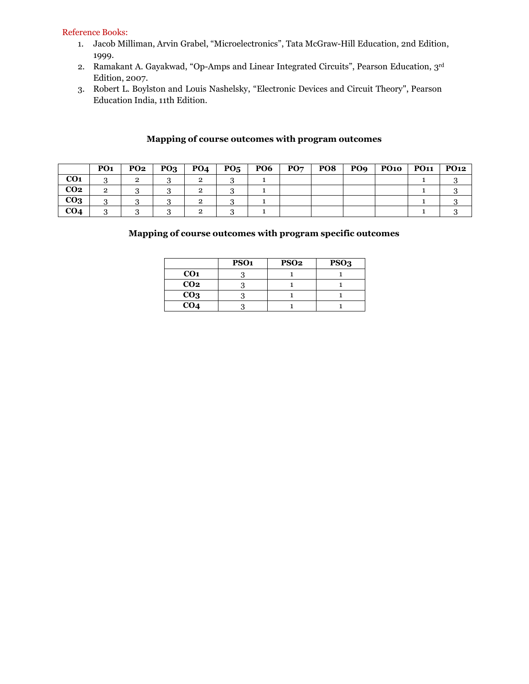#### Reference Books:

- 1. Jacob Milliman, Arvin Grabel, "Microelectronics", Tata McGraw-Hill Education, 2nd Edition, 1999.
- 2. Ramakant A. Gayakwad, "Op-Amps and Linear Integrated Circuits", Pearson Education, 3rd Edition, 2007.
- 3. Robert L. Boylston and Louis Nashelsky, "Electronic Devices and Circuit Theory", Pearson Education India, 11th Edition.

|                 | PO <sub>1</sub> | <b>PO2</b> | PQ <sub>3</sub> | PO <sub>4</sub> | PO <sub>5</sub> | PO <sub>6</sub> | PO7 | PO8 | PO <sub>9</sub> | <b>PO10</b> | <b>PO11</b> | <b>PO12</b> |
|-----------------|-----------------|------------|-----------------|-----------------|-----------------|-----------------|-----|-----|-----------------|-------------|-------------|-------------|
| CO <sub>1</sub> |                 | ے          |                 |                 |                 |                 |     |     |                 |             |             |             |
| CO <sub>2</sub> | 2               |            |                 |                 |                 |                 |     |     |                 |             |             |             |
| CO <sub>3</sub> | .,              |            |                 |                 |                 |                 |     |     |                 |             |             |             |
| CO <sub>4</sub> |                 |            |                 |                 |                 |                 |     |     |                 |             |             |             |

## **Mapping of course outcomes with program outcomes**

|                 | PSO <sub>1</sub> | PSO <sub>2</sub> | PSO <sub>3</sub> |
|-----------------|------------------|------------------|------------------|
| CO <sub>1</sub> |                  |                  |                  |
| CO <sub>2</sub> |                  |                  |                  |
| CO <sub>3</sub> |                  |                  |                  |
| CO <sub>4</sub> |                  |                  |                  |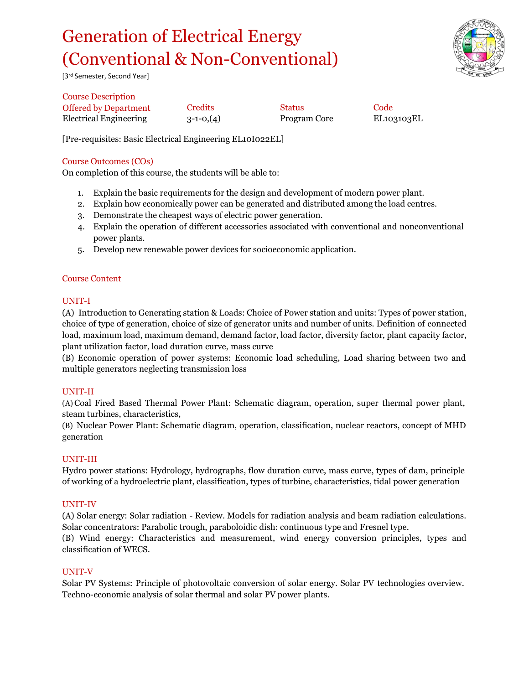# Generation of Electrical Energy (Conventional & Non-Conventional)



[3rd Semester, Second Year]

Course Description Offered by Department Credits Status Status Code Electrical Engineering 3-1-0,(4) Program Core EL103103EL

[Pre-requisites: Basic Electrical Engineering EL10I022EL]

## Course Outcomes (COs)

On completion of this course, the students will be able to:

- 1. Explain the basic requirements for the design and development of modern power plant.
- 2. Explain how economically power can be generated and distributed among the load centres.
- 3. Demonstrate the cheapest ways of electric power generation.
- 4. Explain the operation of different accessories associated with conventional and nonconventional power plants.
- 5. Develop new renewable power devices for socioeconomic application.

#### Course Content

#### UNIT-I

(A) Introduction to Generating station & Loads: Choice of Power station and units: Types of power station, choice of type of generation, choice of size of generator units and number of units. Definition of connected load, maximum load, maximum demand, demand factor, load factor, diversity factor, plant capacity factor, plant utilization factor, load duration curve, mass curve

(B) Economic operation of power systems: Economic load scheduling, Load sharing between two and multiple generators neglecting transmission loss

#### UNIT-II

(A) Coal Fired Based Thermal Power Plant: Schematic diagram, operation, super thermal power plant, steam turbines, characteristics,

(B) Nuclear Power Plant: Schematic diagram, operation, classification, nuclear reactors, concept of MHD generation

#### UNIT-III

Hydro power stations: Hydrology, hydrographs, flow duration curve, mass curve, types of dam, principle of working of a hydroelectric plant, classification, types of turbine, characteristics, tidal power generation

#### UNIT-IV

(A) Solar energy: Solar radiation - Review. Models for radiation analysis and beam radiation calculations. Solar concentrators: Parabolic trough, paraboloidic dish: continuous type and Fresnel type. (B) Wind energy: Characteristics and measurement, wind energy conversion principles, types and classification of WECS.

#### UNIT-V

Solar PV Systems: Principle of photovoltaic conversion of solar energy. Solar PV technologies overview. Techno-economic analysis of solar thermal and solar PV power plants.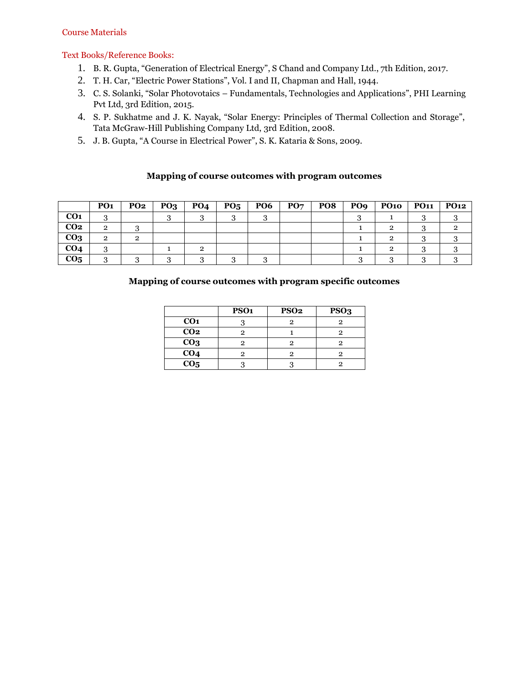#### Course Materials

#### Text Books/Reference Books:

- 1. B. R. Gupta, "Generation of Electrical Energy", S Chand and Company Ltd., 7th Edition, 2017.
- 2. T. H. Car, "Electric Power Stations", Vol. I and II, Chapman and Hall, 1944.
- 3. C. S. Solanki, "Solar Photovotaics Fundamentals, Technologies and Applications", PHI Learning Pvt Ltd, 3rd Edition, 2015.
- 4. S. P. Sukhatme and J. K. Nayak, "Solar Energy: Principles of Thermal Collection and Storage", Tata McGraw-Hill Publishing Company Ltd, 3rd Edition, 2008.
- 5. J. B. Gupta, "A Course in Electrical Power", S. K. Kataria & Sons, 2009.

#### **Mapping of course outcomes with program outcomes**

|                 | PO <sub>1</sub> | <b>PO2</b> | PQ <sub>3</sub> | <b>PO4</b> | PO <sub>5</sub> | PO <sub>6</sub> | PO7 | PO8 | PO <sub>9</sub> | <b>PO10</b> | <b>PO11</b> | <b>PO12</b> |
|-----------------|-----------------|------------|-----------------|------------|-----------------|-----------------|-----|-----|-----------------|-------------|-------------|-------------|
| CO <sub>1</sub> | ົ               |            |                 |            |                 |                 |     |     |                 |             |             |             |
| CO <sub>2</sub> | 2               |            |                 |            |                 |                 |     |     |                 |             |             |             |
| CO <sub>3</sub> | 2               | 2          |                 |            |                 |                 |     |     |                 |             |             |             |
| CO <sub>4</sub> | ິ               |            |                 | റ          |                 |                 |     |     |                 |             |             |             |
| CO <sub>5</sub> |                 |            |                 |            |                 |                 |     |     |                 |             |             |             |

|                   | PSO <sub>1</sub> | PSO <sub>2</sub> | PSO <sub>3</sub> |
|-------------------|------------------|------------------|------------------|
| CO <sub>1</sub>   |                  | റ                | 9                |
| CO <sub>2</sub>   |                  |                  |                  |
| CO <sub>3</sub>   |                  |                  |                  |
| CO <sub>4</sub>   |                  |                  | 2                |
| $\overline{CO_5}$ |                  |                  |                  |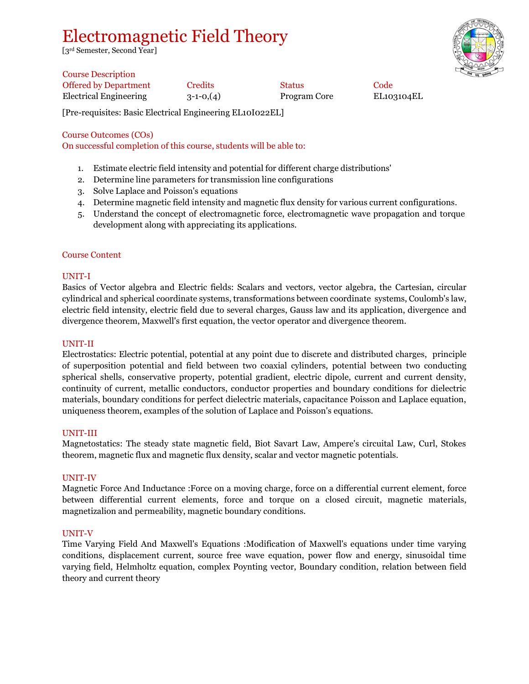## Electromagnetic Field Theory

[3rd Semester, Second Year]



| <b>Course Description</b>    |            |               |                  |
|------------------------------|------------|---------------|------------------|
| <b>Offered by Department</b> | Credits    | <b>Status</b> | Code             |
| Electrical Engineering       | $3-1-0(4)$ | Program Core  | EL <sub>10</sub> |

3-1-0,(4) Program Core EL103104EL

[Pre-requisites: Basic Electrical Engineering EL10I022EL]

Course Outcomes (COs)

On successful completion of this course, students will be able to:

- 1. Estimate electric field intensity and potential for different charge distributions'
- 2. Determine line parameters for transmission line configurations
- 3. Solve Laplace and Poisson's equations
- 4. Determine magnetic field intensity and magnetic flux density for various current configurations.
- 5. Understand the concept of electromagnetic force, electromagnetic wave propagation and torque development along with appreciating its applications.

#### Course Content

#### UNIT-I

Basics of Vector algebra and Electric fields: Scalars and vectors, vector algebra, the Cartesian, circular cylindrical and spherical coordinate systems, transformations between coordinate systems, Coulomb's law, electric field intensity, electric field due to several charges, Gauss law and its application, divergence and divergence theorem, Maxwell's first equation, the vector operator and divergence theorem.

#### UNIT-II

Electrostatics: Electric potential, potential at any point due to discrete and distributed charges, principle of superposition potential and field between two coaxial cylinders, potential between two conducting spherical shells, conservative property, potential gradient, electric dipole, current and current density, continuity of current, metallic conductors, conductor properties and boundary conditions for dielectric materials, boundary conditions for perfect dielectric materials, capacitance Poisson and Laplace equation, uniqueness theorem, examples of the solution of Laplace and Poisson's equations.

#### UNIT-III

Magnetostatics: The steady state magnetic field, Biot Savart Law, Ampere's circuital Law, Curl, Stokes theorem, magnetic flux and magnetic flux density, scalar and vector magnetic potentials.

#### UNIT-IV

Magnetic Force And Inductance :Force on a moving charge, force on a differential current element, force between differential current elements, force and torque on a closed circuit, magnetic materials, magnetizalion and permeability, magnetic boundary conditions.

#### UNIT-V

Time Varying Field And Maxwell's Equations :Modification of Maxwell's equations under time varying conditions, displacement current, source free wave equation, power flow and energy, sinusoidal time varying field, Helmholtz equation, complex Poynting vector, Boundary condition, relation between field theory and current theory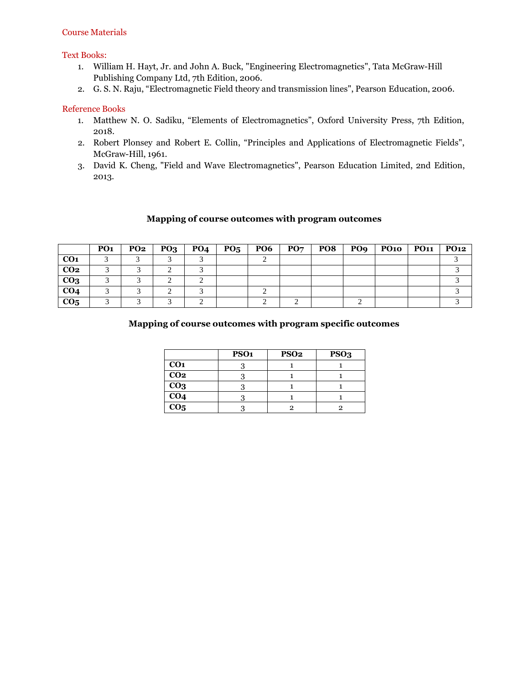#### Text Books:

- 1. William H. Hayt, Jr. and John A. Buck, "Engineering Electromagnetics", Tata McGraw-Hill Publishing Company Ltd, 7th Edition, 2006.
- 2. G. S. N. Raju, "Electromagnetic Field theory and transmission lines", Pearson Education, 2006.

#### Reference Books

- 1. Matthew N. O. Sadiku, "Elements of Electromagnetics", Oxford University Press, 7th Edition, 2018.
- 2. Robert Plonsey and Robert E. Collin, "Principles and Applications of Electromagnetic Fields", McGraw-Hill, 1961.
- 3. David K. Cheng, "Field and Wave Electromagnetics", Pearson Education Limited, 2nd Edition, 2013.

#### **Mapping of course outcomes with program outcomes**

|                 | PO <sub>1</sub> | <b>PO2</b> | PQ <sub>3</sub> | <b>PO4</b> | $PQ_5$ | <b>PO6</b> | PO7 | PO8 | PO <sub>9</sub> | $P$ O10 | PO <sub>11</sub> | <b>PO12</b> |
|-----------------|-----------------|------------|-----------------|------------|--------|------------|-----|-----|-----------------|---------|------------------|-------------|
| CO <sub>1</sub> |                 |            |                 |            |        |            |     |     |                 |         |                  |             |
| CO <sub>2</sub> |                 |            |                 |            |        |            |     |     |                 |         |                  |             |
| CO <sub>3</sub> |                 |            |                 |            |        |            |     |     |                 |         |                  |             |
| CO <sub>4</sub> |                 |            |                 |            |        |            |     |     |                 |         |                  |             |
| CO <sub>5</sub> |                 |            |                 |            |        |            |     |     |                 |         |                  |             |

|                   | PSO <sub>1</sub> | <b>PSO2</b> | PSO <sub>3</sub> |
|-------------------|------------------|-------------|------------------|
| CO <sub>1</sub>   |                  |             |                  |
| CO <sub>2</sub>   |                  |             |                  |
| $_{\rm CO3}$      |                  |             |                  |
| CO <sub>4</sub>   |                  |             |                  |
| $\overline{CO_5}$ |                  |             |                  |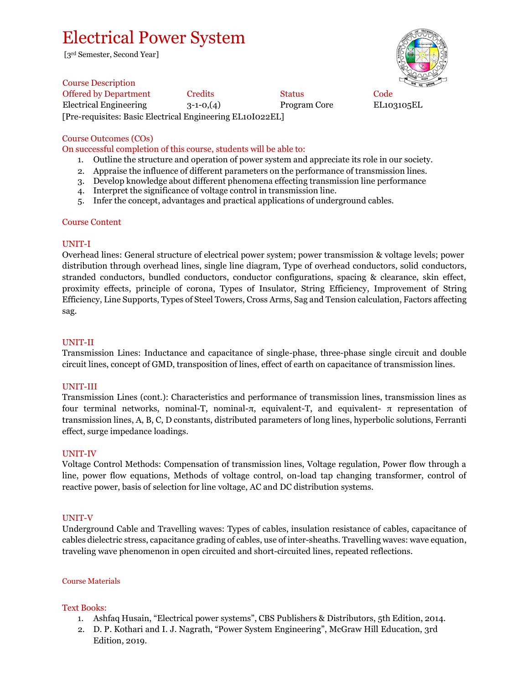## Electrical Power System

[3rd Semester, Second Year]



Course Description Offered by Department Credits Status Code Electrical Engineering 3-1-0,(4) Program Core EL103105EL [Pre-requisites: Basic Electrical Engineering EL10I022EL]

#### Course Outcomes (COs)

On successful completion of this course, students will be able to:

- 1. Outline the structure and operation of power system and appreciate its role in our society.
- 2. Appraise the influence of different parameters on the performance of transmission lines.
- 3. Develop knowledge about different phenomena effecting transmission line performance
- 4. Interpret the significance of voltage control in transmission line.
- 5. Infer the concept, advantages and practical applications of underground cables.

#### Course Content

#### UNIT-I

Overhead lines: General structure of electrical power system; power transmission & voltage levels; power distribution through overhead lines, single line diagram, Type of overhead conductors, solid conductors, stranded conductors, bundled conductors, conductor configurations, spacing & clearance, skin effect, proximity effects, principle of corona, Types of Insulator, String Efficiency, Improvement of String Efficiency, Line Supports, Types of Steel Towers, Cross Arms, Sag and Tension calculation, Factors affecting sag.

#### UNIT-II

Transmission Lines: Inductance and capacitance of single-phase, three-phase single circuit and double circuit lines, concept of GMD, transposition of lines, effect of earth on capacitance of transmission lines.

#### UNIT-III

Transmission Lines (cont.): Characteristics and performance of transmission lines, transmission lines as four terminal networks, nominal-T, nominal-π, equivalent-T, and equivalent- π representation of transmission lines, A, B, C, D constants, distributed parameters of long lines, hyperbolic solutions, Ferranti effect, surge impedance loadings.

#### UNIT-IV

Voltage Control Methods: Compensation of transmission lines, Voltage regulation, Power flow through a line, power flow equations, Methods of voltage control, on-load tap changing transformer, control of reactive power, basis of selection for line voltage, AC and DC distribution systems.

#### UNIT-V

Underground Cable and Travelling waves: Types of cables, insulation resistance of cables, capacitance of cables dielectric stress, capacitance grading of cables, use of inter-sheaths. Travelling waves: wave equation, traveling wave phenomenon in open circuited and short-circuited lines, repeated reflections.

#### Course Materials

#### Text Books:

- 1. Ashfaq Husain, "Electrical power systems", CBS Publishers & Distributors, 5th Edition, 2014.
- 2. D. P. Kothari and I. J. Nagrath, "Power System Engineering", McGraw Hill Education, 3rd Edition, 2019.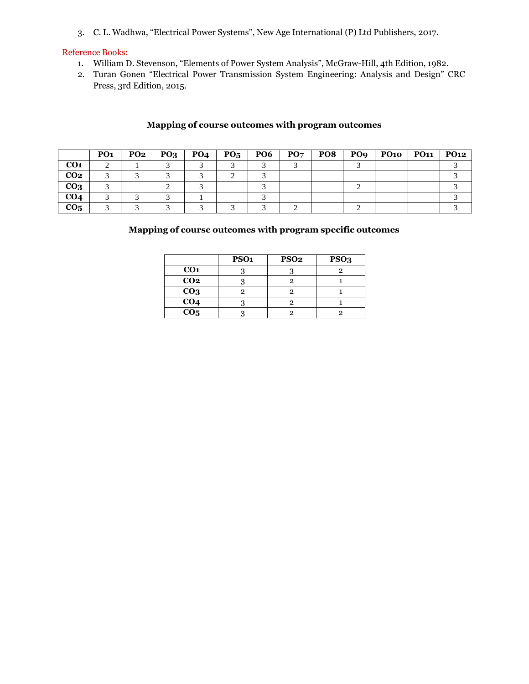3. C. L. Wadhwa, "Electrical Power Systems", New Age International (P) Ltd Publishers, 2017.

#### Reference Books:

- 1. William D. Stevenson, "Elements of Power System Analysis", McGraw-Hill, 4th Edition, 1982.
- 2. Turan Gonen "Electrical Power Transmission System Engineering: Analysis and Design" CRC Press, 3rd Edition, 2015.

## **Mapping of course outcomes with program outcomes**

|                 | PO <sub>1</sub> | <b>PO2</b> | PO <sub>3</sub> | PO <sub>4</sub> | $P_{05}$ | PO6 | PO7 | PO <sub>8</sub> | PO <sub>9</sub> | <b>PO10</b> | <b>PO11</b> | <b>PO12</b> |
|-----------------|-----------------|------------|-----------------|-----------------|----------|-----|-----|-----------------|-----------------|-------------|-------------|-------------|
| CO <sub>1</sub> |                 |            |                 |                 |          |     |     |                 |                 |             |             |             |
| CO <sub>2</sub> |                 |            |                 |                 |          |     |     |                 |                 |             |             |             |
| CO <sub>3</sub> |                 |            |                 |                 |          |     |     |                 |                 |             |             |             |
| CO <sub>4</sub> |                 |            |                 |                 |          |     |     |                 |                 |             |             |             |
| CO <sub>5</sub> |                 |            |                 |                 |          |     |     |                 |                 |             |             |             |

|                  | PSO <sub>1</sub> | <b>PSO2</b> | PSO <sub>3</sub> |
|------------------|------------------|-------------|------------------|
| CO <sub>1</sub>  |                  |             |                  |
| $\overline{CO2}$ |                  |             |                  |
| CO <sub>3</sub>  |                  |             |                  |
| CO <sub>4</sub>  |                  |             |                  |
| CO <sub>5</sub>  |                  |             |                  |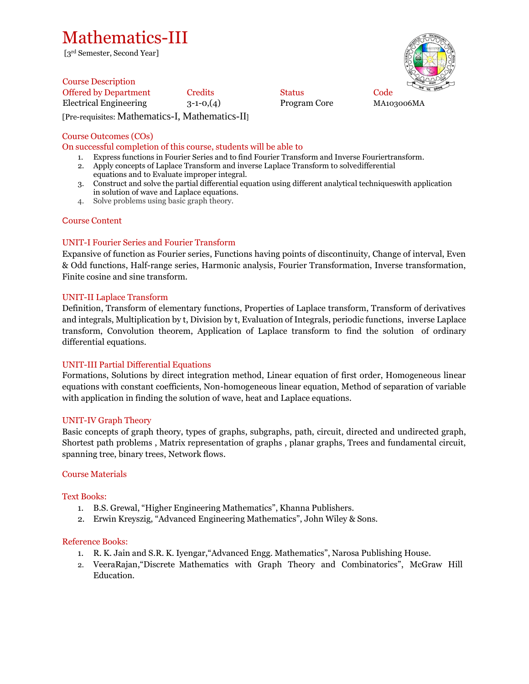## Mathematics-III

[3rd Semester, Second Year]

Course Description Offered by Department Credits Status Code Electrical Engineering 3-1-0,(4) Program Core MA103006MA [Pre-requisites: Mathematics-I, Mathematics-II]

## Course Outcomes (COs)

#### On successful completion of this course, students will be able to

- 1. Express functions in Fourier Series and to find Fourier Transform and Inverse Fouriertransform.
- 2. Apply concepts of Laplace Transform and inverse Laplace Transform to solvedifferential equations and to Evaluate improper integral.
- 3. Construct and solve the partial differential equation using different analytical techniqueswith application in solution of wave and Laplace equations.
- 4. Solve problems using basic graph theory.

## Course Content

## UNIT-I Fourier Series and Fourier Transform

Expansive of function as Fourier series, Functions having points of discontinuity, Change of interval, Even & Odd functions, Half-range series, Harmonic analysis, Fourier Transformation, Inverse transformation, Finite cosine and sine transform.

#### UNIT-II Laplace Transform

Definition, Transform of elementary functions, Properties of Laplace transform, Transform of derivatives and integrals, Multiplication by t, Division by t, Evaluation of Integrals, periodic functions, inverse Laplace transform, Convolution theorem, Application of Laplace transform to find the solution of ordinary differential equations.

#### UNIT-III Partial Differential Equations

Formations, Solutions by direct integration method, Linear equation of first order, Homogeneous linear equations with constant coefficients, Non-homogeneous linear equation, Method of separation of variable with application in finding the solution of wave, heat and Laplace equations.

#### UNIT-IV Graph Theory

Basic concepts of graph theory, types of graphs, subgraphs, path, circuit, directed and undirected graph, Shortest path problems , Matrix representation of graphs , planar graphs, Trees and fundamental circuit, spanning tree, binary trees, Network flows.

#### Course Materials

#### Text Books:

- 1. B.S. Grewal, "Higher Engineering Mathematics", Khanna Publishers.
- 2. Erwin Kreyszig, "Advanced Engineering Mathematics", John Wiley & Sons.

#### Reference Books:

- 1. R. K. Jain and S.R. K. Iyengar,"Advanced Engg. Mathematics", Narosa Publishing House.
- 2. VeeraRajan,"Discrete Mathematics with Graph Theory and Combinatorics", McGraw Hill Education.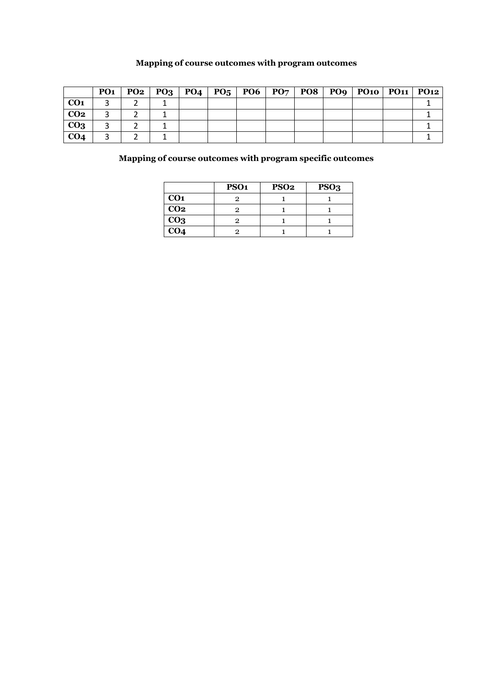## **Mapping of course outcomes with program outcomes**

|                 | PO <sub>1</sub> |  |  |  |  | $PQ2   PQ3   PQ4   PQ5   PQ6   PQ7   PQ8   PQ9   PQ10   PQ11   PQ12$ |  |
|-----------------|-----------------|--|--|--|--|----------------------------------------------------------------------|--|
| CO <sub>1</sub> |                 |  |  |  |  |                                                                      |  |
| CO <sub>2</sub> |                 |  |  |  |  |                                                                      |  |
| CO <sub>3</sub> |                 |  |  |  |  |                                                                      |  |
| CO <sub>4</sub> |                 |  |  |  |  |                                                                      |  |

|                 | PSO <sub>1</sub> | PSO <sub>2</sub> | PSO <sub>3</sub> |
|-----------------|------------------|------------------|------------------|
| CO <sub>1</sub> |                  |                  |                  |
| CO <sub>2</sub> |                  |                  |                  |
| CO <sub>3</sub> |                  |                  |                  |
| CO <sub>4</sub> |                  |                  |                  |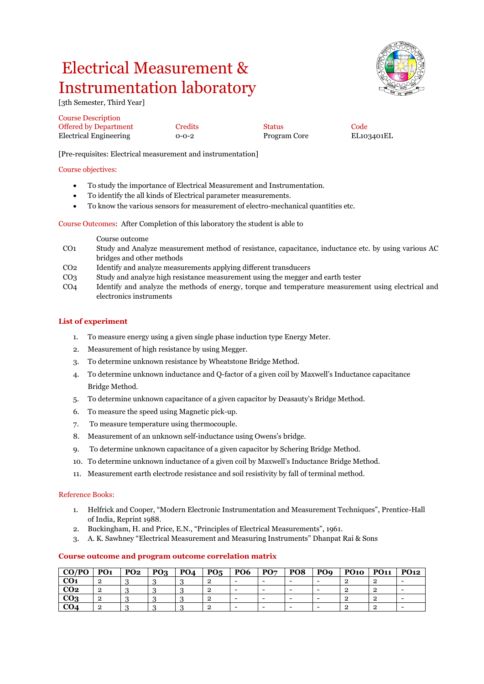# Electrical Measurement & Instrumentation laboratory

[3th Semester, Third Year]

Course Description Offered by Department Credits Status Code Electrical Engineering 0-0-2 Program Core EL103401EL

[Pre-requisites: Electrical measurement and instrumentation]

#### Course objectives:

- To study the importance of Electrical Measurement and Instrumentation.
- To identify the all kinds of Electrical parameter measurements.
- To know the various sensors for measurement of electro-mechanical quantities etc.

Course Outcomes: After Completion of this laboratory the student is able to

#### Course outcome

- CO1 Study and Analyze measurement method of resistance, capacitance, inductance etc. by using various AC bridges and other methods
- CO2 Identify and analyze measurements applying different transducers
- CO3 Study and analyze high resistance measurement using the megger and earth tester
- CO4 Identify and analyze the methods of energy, torque and temperature measurement using electrical and electronics instruments

#### **List of experiment**

- 1. To measure energy using a given single phase induction type Energy Meter.
- 2. Measurement of high resistance by using Megger.
- 3. To determine unknown resistance by Wheatstone Bridge Method.
- 4. To determine unknown inductance and Q-factor of a given coil by Maxwell's Inductance capacitance Bridge Method.
- 5. To determine unknown capacitance of a given capacitor by Deasauty's Bridge Method.
- 6. To measure the speed using Magnetic pick-up.
- 7. To measure temperature using thermocouple.
- 8. Measurement of an unknown self-inductance using Owens's bridge.
- 9. To determine unknown capacitance of a given capacitor by Schering Bridge Method.
- 10. To determine unknown inductance of a given coil by Maxwell's Inductance Bridge Method.
- 11. Measurement earth electrode resistance and soil resistivity by fall of terminal method.

#### Reference Books:

- 1. Helfrick and Cooper, "Modern Electronic Instrumentation and Measurement Techniques", Prentice-Hall of India, Reprint 1988.
- 2. Buckingham, H. and Price, E.N., "Principles of Electrical Measurements", 1961.
- 3. A. K. Sawhney "Electrical Measurement and Measuring Instruments" Dhanpat Rai & Sons

#### **CO/PO PO1 PO2 PO3 PO4 PO5 PO6 PO7 PO8 PO9 PO10 PO11 PO12 CO1** 2 3 3 3 2 - - - - 2 2 - **CO2**  $\begin{vmatrix} 2 & 3 & 3 \end{vmatrix}$   $\begin{vmatrix} 3 & 3 & 3 \end{vmatrix}$   $\begin{vmatrix} 2 & 3 & 3 \end{vmatrix}$   $\begin{vmatrix} 2 & 3 & 3 \end{vmatrix}$   $\begin{vmatrix} 2 & 3 & 3 \end{vmatrix}$   $\begin{vmatrix} 2 & 3 & 3 \end{vmatrix}$   $\begin{vmatrix} 2 & 3 & 3 \end{vmatrix}$   $\begin{vmatrix} 2 & 3 & 3 \end{vmatrix}$   $\begin{vmatrix} 2 & 3 & 3 \end{vmatrix}$   $\begin{vmatrix}$ **CO3** 2 3 3 3 2 - - - - 2 2 - **CO4** 2 3 3 3 2 - - - - 2 2

## **Course outcome and program outcome correlation matrix**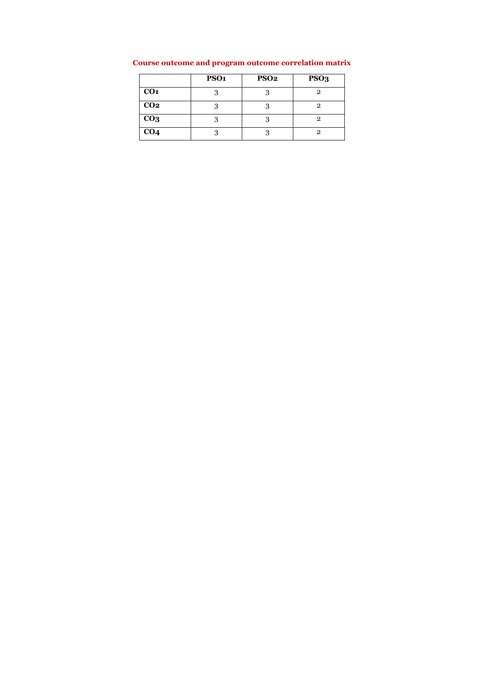|                 | PSO <sub>1</sub> | <b>PSO2</b> | PSO <sub>3</sub> |
|-----------------|------------------|-------------|------------------|
| CO <sub>1</sub> | 2                | っ           | 9                |
| CO <sub>2</sub> |                  |             |                  |
| CO <sub>3</sub> |                  |             | 9                |
| CO <sub>4</sub> |                  |             |                  |

## **Course outcome and program outcome correlation matrix**